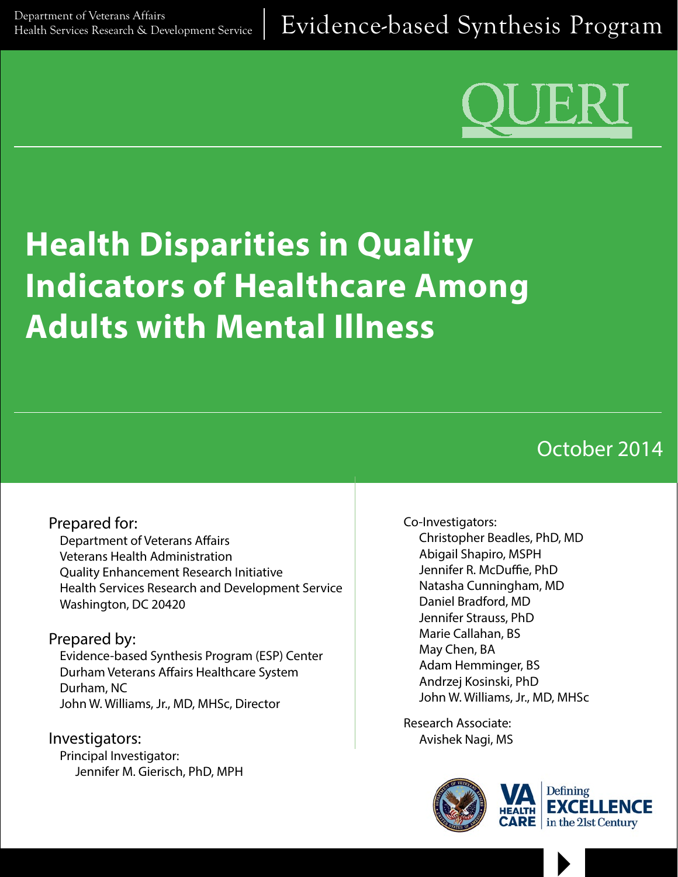

# **Health Disparities in Quality Indicators of Healthcare Among Adults with Mental Illness**

# October 2014

# Prepared for:

Department of Veterans Affairs Veterans Health Administration Quality Enhancement Research Initiative Health Services Research and Development Service Washington, DC 20420

## Prepared by:

Evidence-based Synthesis Program (ESP) Center Durham Veterans Affairs Healthcare System Durham, NC John W. Williams, Jr., MD, MHSc, Director

Investigators: Principal Investigator: Jennifer M. Gierisch, PhD, MPH

#### Co-Investigators:

Christopher Beadles, PhD, MD Abigail Shapiro, MSPH Jennifer R. McDuffie, PhD Natasha Cunningham, MD Daniel Bradford, MD Jennifer Strauss, PhD Marie Callahan, BS May Chen, BA Adam Hemminger, BS Andrzej Kosinski, PhD John W. Williams, Jr., MD, MHSc

Research Associate: Avishek Nagi, MS



 $\blacktriangleright$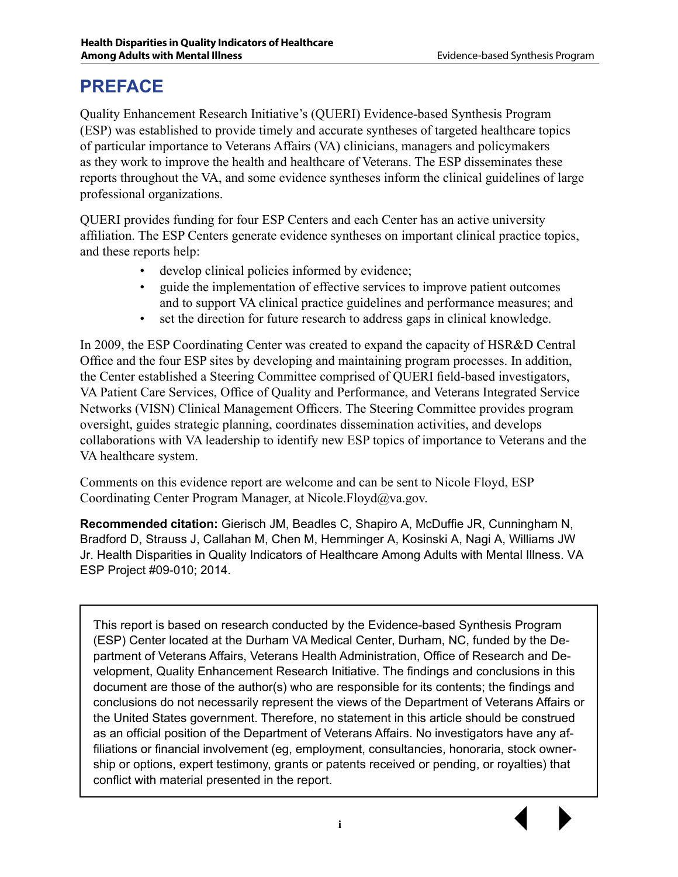# **PREFACE**

Quality Enhancement Research Initiative's (QUERI) Evidence-based Synthesis Program (ESP) was established to provide timely and accurate syntheses of targeted healthcare topics of particular importance to Veterans Affairs (VA) clinicians, managers and policymakers as they work to improve the health and healthcare of Veterans. The ESP disseminates these reports throughout the VA, and some evidence syntheses inform the clinical guidelines of large professional organizations.

QUERI provides funding for four ESP Centers and each Center has an active university affiliation. The ESP Centers generate evidence syntheses on important clinical practice topics, and these reports help:

- develop clinical policies informed by evidence;
- guide the implementation of effective services to improve patient outcomes and to support VA clinical practice guidelines and performance measures; and
- set the direction for future research to address gaps in clinical knowledge.

In 2009, the ESP Coordinating Center was created to expand the capacity of HSR&D Central Office and the four ESP sites by developing and maintaining program processes. In addition, the Center established a Steering Committee comprised of QUERI field-based investigators, VA Patient Care Services, Office of Quality and Performance, and Veterans Integrated Service Networks (VISN) Clinical Management Officers. The Steering Committee provides program oversight, guides strategic planning, coordinates dissemination activities, and develops collaborations with VA leadership to identify new ESP topics of importance to Veterans and the VA healthcare system.

Comments on this evidence report are welcome and can be sent to Nicole Floyd, ESP Coordinating Center Program Manager, at [Nicole.Floyd@va.gov.](mailto:nicole.floyd@va.gov)

**Recommended citation:** Gierisch JM, Beadles C, Shapiro A, McDuffie JR, Cunningham N, Bradford D, Strauss J, Callahan M, Chen M, Hemminger A, Kosinski A, Nagi A, Williams JW Jr. Health Disparities in Quality Indicators of Healthcare Among Adults with Mental Illness. VA ESP Project #09-010; 2014.

This report is based on research conducted by the Evidence-based Synthesis Program (ESP) Center located at the Durham VA Medical Center, Durham, NC, funded by the Department of Veterans Affairs, Veterans Health Administration, Office of Research and Development, Quality Enhancement Research Initiative. The findings and conclusions in this document are those of the author(s) who are responsible for its contents; the findings and conclusions do not necessarily represent the views of the Department of Veterans Affairs or the United States government. Therefore, no statement in this article should be construed as an official position of the Department of Veterans Affairs. No investigators have any affiliations or financial involvement (eg, employment, consultancies, honoraria, stock ownership or options, expert testimony, grants or patents received or pending, or royalties) that conflict with material presented in the report.

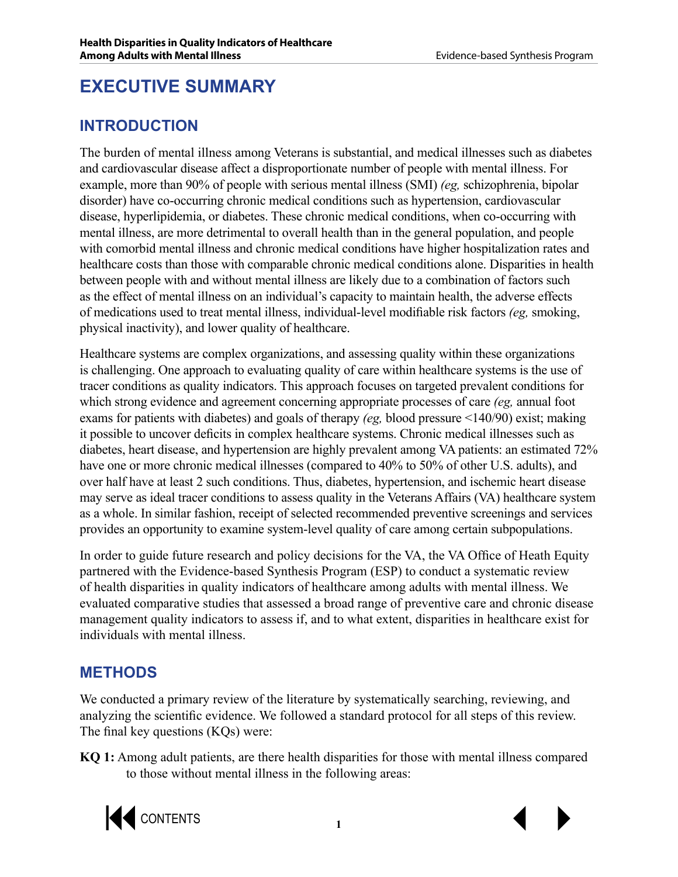# **EXECUTIVE SUMMARY**

# **INTRODUCTION**

The burden of mental illness among Veterans is substantial, and medical illnesses such as diabetes and cardiovascular disease affect a disproportionate number of people with mental illness. For example, more than 90% of people with serious mental illness (SMI) *(eg,* schizophrenia, bipolar disorder) have co-occurring chronic medical conditions such as hypertension, cardiovascular disease, hyperlipidemia, or diabetes. These chronic medical conditions, when co-occurring with mental illness, are more detrimental to overall health than in the general population, and people with comorbid mental illness and chronic medical conditions have higher hospitalization rates and healthcare costs than those with comparable chronic medical conditions alone. Disparities in health between people with and without mental illness are likely due to a combination of factors such as the effect of mental illness on an individual's capacity to maintain health, the adverse effects of medications used to treat mental illness, individual-level modifiable risk factors *(eg,* smoking, physical inactivity), and lower quality of healthcare.

Healthcare systems are complex organizations, and assessing quality within these organizations is challenging. One approach to evaluating quality of care within healthcare systems is the use of tracer conditions as quality indicators. This approach focuses on targeted prevalent conditions for which strong evidence and agreement concerning appropriate processes of care *(eg,* annual foot exams for patients with diabetes) and goals of therapy *(eg,* blood pressure <140/90) exist; making it possible to uncover deficits in complex healthcare systems. Chronic medical illnesses such as diabetes, heart disease, and hypertension are highly prevalent among VA patients: an estimated 72% have one or more chronic medical illnesses (compared to 40% to 50% of other U.S. adults), and over half have at least 2 such conditions. Thus, diabetes, hypertension, and ischemic heart disease may serve as ideal tracer conditions to assess quality in the Veterans Affairs (VA) healthcare system as a whole. In similar fashion, receipt of selected recommended preventive screenings and services provides an opportunity to examine system-level quality of care among certain subpopulations.

In order to guide future research and policy decisions for the VA, the VA Office of Heath Equity partnered with the Evidence-based Synthesis Program (ESP) to conduct a systematic review of health disparities in quality indicators of healthcare among adults with mental illness. We evaluated comparative studies that assessed a broad range of preventive care and chronic disease management quality indicators to assess if, and to what extent, disparities in healthcare exist for individuals with mental illness.

# **METHODS**

We conducted a primary review of the literature by systematically searching, reviewing, and analyzing the scientific evidence. We followed a standard protocol for all steps of this review. The final key questions (KQs) were:

**KQ 1:** Among adult patients, are there health disparities for those with mental illness compared to those without mental illness in the following areas:

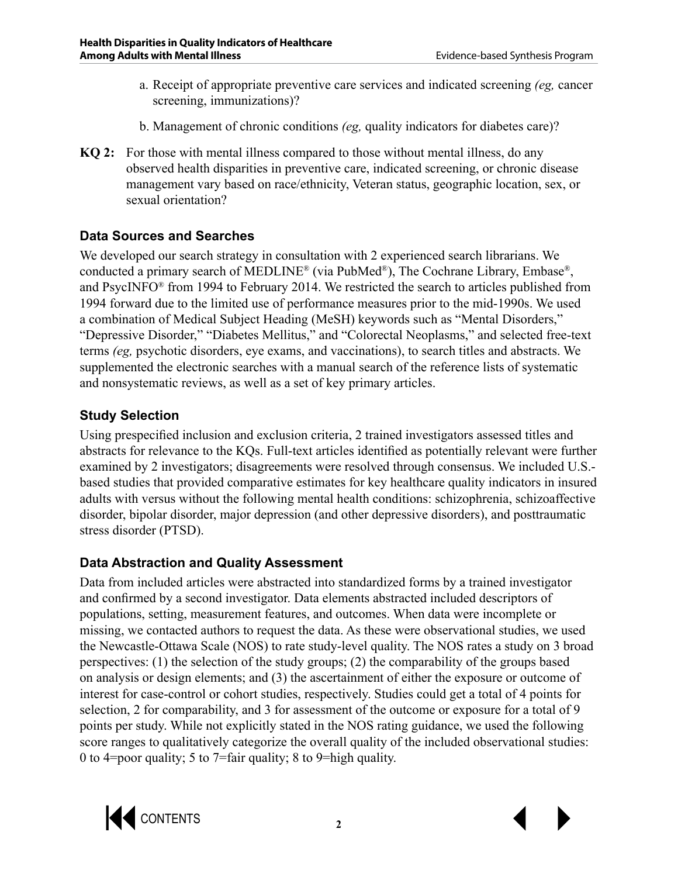- a. Receipt of appropriate preventive care services and indicated screening *(eg,* cancer screening, immunizations)?
- b. Management of chronic conditions *(eg,* quality indicators for diabetes care)?
- **KQ 2:** For those with mental illness compared to those without mental illness, do any observed health disparities in preventive care, indicated screening, or chronic disease management vary based on race/ethnicity, Veteran status, geographic location, sex, or sexual orientation?

## **Data Sources and Searches**

We developed our search strategy in consultation with 2 experienced search librarians. We conducted a primary search of MEDLINE® (via PubMed®), The Cochrane Library, Embase®, and PsycINFO® from 1994 to February 2014. We restricted the search to articles published from 1994 forward due to the limited use of performance measures prior to the mid-1990s. We used a combination of Medical Subject Heading (MeSH) keywords such as "Mental Disorders," "Depressive Disorder," "Diabetes Mellitus," and "Colorectal Neoplasms," and selected free-text terms *(eg,* psychotic disorders, eye exams, and vaccinations), to search titles and abstracts. We supplemented the electronic searches with a manual search of the reference lists of systematic and nonsystematic reviews, as well as a set of key primary articles.

## **Study Selection**

Using prespecified inclusion and exclusion criteria, 2 trained investigators assessed titles and abstracts for relevance to the KQs. Full-text articles identified as potentially relevant were further examined by 2 investigators; disagreements were resolved through consensus. We included U.S. based studies that provided comparative estimates for key healthcare quality indicators in insured adults with versus without the following mental health conditions: schizophrenia, schizoaffective disorder, bipolar disorder, major depression (and other depressive disorders), and posttraumatic stress disorder (PTSD).

## **Data Abstraction and Quality Assessment**

Data from included articles were abstracted into standardized forms by a trained investigator and confirmed by a second investigator. Data elements abstracted included descriptors of populations, setting, measurement features, and outcomes. When data were incomplete or missing, we contacted authors to request the data. As these were observational studies, we used the Newcastle-Ottawa Scale (NOS) to rate study-level quality. The NOS rates a study on 3 broad perspectives: (1) the selection of the study groups; (2) the comparability of the groups based on analysis or design elements; and (3) the ascertainment of either the exposure or outcome of interest for case-control or cohort studies, respectively. Studies could get a total of 4 points for selection, 2 for comparability, and 3 for assessment of the outcome or exposure for a total of 9 points per study. While not explicitly stated in the NOS rating guidance, we used the following score ranges to qualitatively categorize the overall quality of the included observational studies: 0 to 4=poor quality; 5 to 7=fair quality; 8 to 9=high quality.

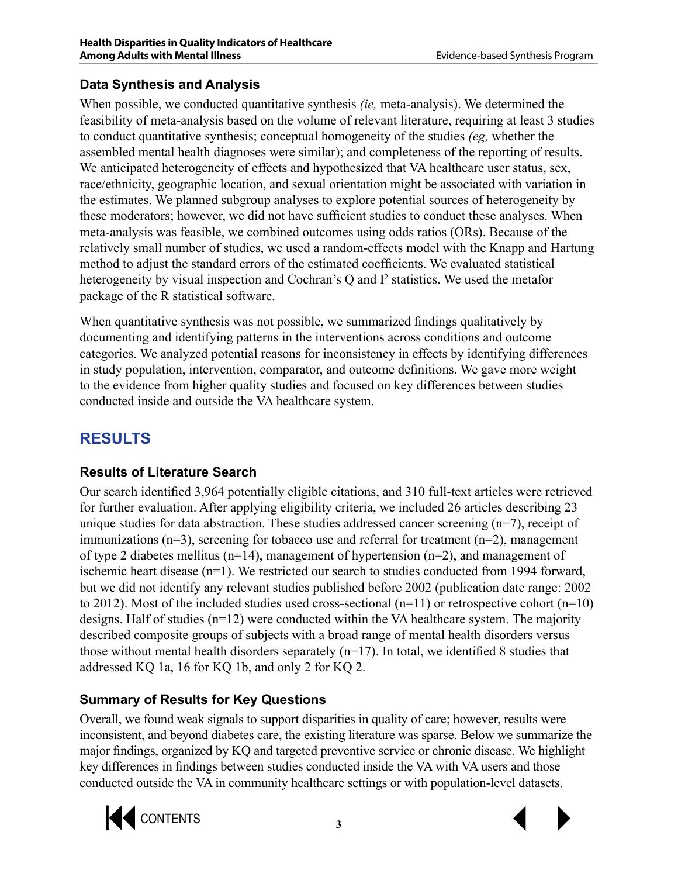# **Data Synthesis and Analysis**

When possible, we conducted quantitative synthesis *(ie,* meta-analysis). We determined the feasibility of meta-analysis based on the volume of relevant literature, requiring at least 3 studies to conduct quantitative synthesis; conceptual homogeneity of the studies *(eg,* whether the assembled mental health diagnoses were similar); and completeness of the reporting of results. We anticipated heterogeneity of effects and hypothesized that VA healthcare user status, sex, race/ethnicity, geographic location, and sexual orientation might be associated with variation in the estimates. We planned subgroup analyses to explore potential sources of heterogeneity by these moderators; however, we did not have sufficient studies to conduct these analyses. When meta-analysis was feasible, we combined outcomes using odds ratios (ORs). Because of the relatively small number of studies, we used a random-effects model with the Knapp and Hartung method to adjust the standard errors of the estimated coefficients. We evaluated statistical heterogeneity by visual inspection and Cochran's  $Q$  and  $I^2$  statistics. We used the metafor package of the R statistical software.

When quantitative synthesis was not possible, we summarized findings qualitatively by documenting and identifying patterns in the interventions across conditions and outcome categories. We analyzed potential reasons for inconsistency in effects by identifying differences in study population, intervention, comparator, and outcome definitions. We gave more weight to the evidence from higher quality studies and focused on key differences between studies conducted inside and outside the VA healthcare system.

# **RESULTS**

# **Results of Literature Search**

Our search identified 3,964 potentially eligible citations, and 310 full-text articles were retrieved for further evaluation. After applying eligibility criteria, we included 26 articles describing 23 unique studies for data abstraction. These studies addressed cancer screening (n=7), receipt of immunizations  $(n=3)$ , screening for tobacco use and referral for treatment  $(n=2)$ , management of type 2 diabetes mellitus (n=14), management of hypertension (n=2), and management of ischemic heart disease (n=1). We restricted our search to studies conducted from 1994 forward, but we did not identify any relevant studies published before 2002 (publication date range: 2002 to 2012). Most of the included studies used cross-sectional (n=11) or retrospective cohort (n=10) designs. Half of studies (n=12) were conducted within the VA healthcare system. The majority described composite groups of subjects with a broad range of mental health disorders versus those without mental health disorders separately (n=17). In total, we identified 8 studies that addressed KQ 1a, 16 for KQ 1b, and only 2 for KQ 2.

# **Summary of Results for Key Questions**

Overall, we found weak signals to support disparities in quality of care; however, results were inconsistent, and beyond diabetes care, the existing literature was sparse. Below we summarize the major findings, organized by KQ and targeted preventive service or chronic disease. We highlight key differences in findings between studies conducted inside the VA with VA users and those conducted outside the VA in community healthcare settings or with population-level datasets.



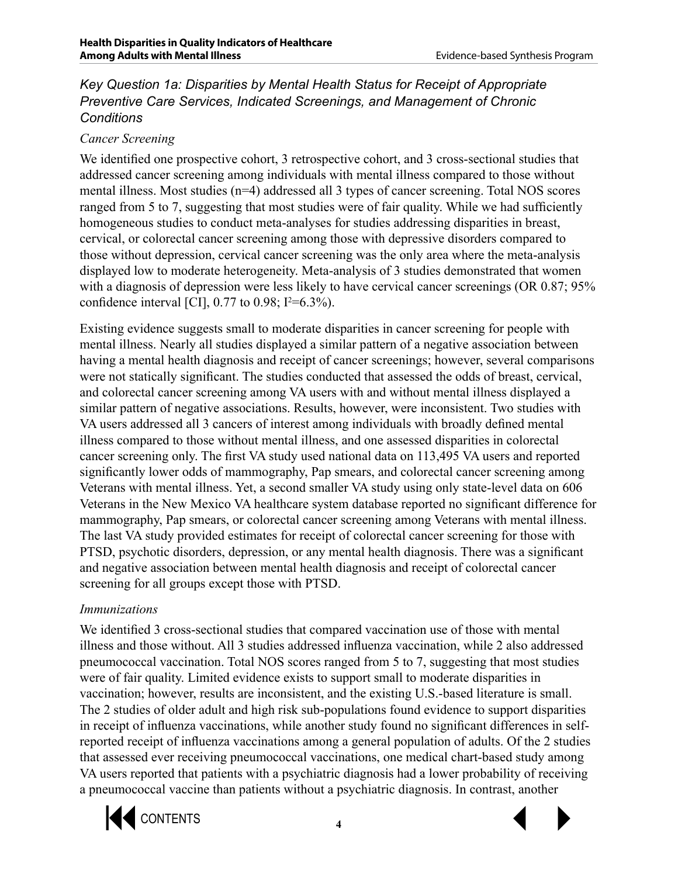#### *Key Question 1a: Disparities by Mental Health Status for Receipt of Appropriate Preventive Care Services, Indicated Screenings, and Management of Chronic Conditions*

#### *Cancer Screening*

We identified one prospective cohort, 3 retrospective cohort, and 3 cross-sectional studies that addressed cancer screening among individuals with mental illness compared to those without mental illness. Most studies (n=4) addressed all 3 types of cancer screening. Total NOS scores ranged from 5 to 7, suggesting that most studies were of fair quality. While we had sufficiently homogeneous studies to conduct meta-analyses for studies addressing disparities in breast, cervical, or colorectal cancer screening among those with depressive disorders compared to those without depression, cervical cancer screening was the only area where the meta-analysis displayed low to moderate heterogeneity. Meta-analysis of 3 studies demonstrated that women with a diagnosis of depression were less likely to have cervical cancer screenings (OR 0.87; 95%) confidence interval [CI],  $0.77$  to  $0.98$ ;  $I^2 = 6.3\%$ ).

Existing evidence suggests small to moderate disparities in cancer screening for people with mental illness. Nearly all studies displayed a similar pattern of a negative association between having a mental health diagnosis and receipt of cancer screenings; however, several comparisons were not statically significant. The studies conducted that assessed the odds of breast, cervical, and colorectal cancer screening among VA users with and without mental illness displayed a similar pattern of negative associations. Results, however, were inconsistent. Two studies with VA users addressed all 3 cancers of interest among individuals with broadly defined mental illness compared to those without mental illness, and one assessed disparities in colorectal cancer screening only. The first VA study used national data on 113,495 VA users and reported significantly lower odds of mammography, Pap smears, and colorectal cancer screening among Veterans with mental illness. Yet, a second smaller VA study using only state-level data on 606 Veterans in the New Mexico VA healthcare system database reported no significant difference for mammography, Pap smears, or colorectal cancer screening among Veterans with mental illness. The last VA study provided estimates for receipt of colorectal cancer screening for those with PTSD, psychotic disorders, depression, or any mental health diagnosis. There was a significant and negative association between mental health diagnosis and receipt of colorectal cancer screening for all groups except those with PTSD.

#### *Immunizations*

We identified 3 cross-sectional studies that compared vaccination use of those with mental illness and those without. All 3 studies addressed influenza vaccination, while 2 also addressed pneumococcal vaccination. Total NOS scores ranged from 5 to 7, suggesting that most studies were of fair quality. Limited evidence exists to support small to moderate disparities in vaccination; however, results are inconsistent, and the existing U.S.-based literature is small. The 2 studies of older adult and high risk sub-populations found evidence to support disparities in receipt of influenza vaccinations, while another study found no significant differences in selfreported receipt of influenza vaccinations among a general population of adults. Of the 2 studies that assessed ever receiving pneumococcal vaccinations, one medical chart-based study among VA users reported that patients with a psychiatric diagnosis had a lower probability of receiving a pneumococcal vaccine than patients without a psychiatric diagnosis. In contrast, another



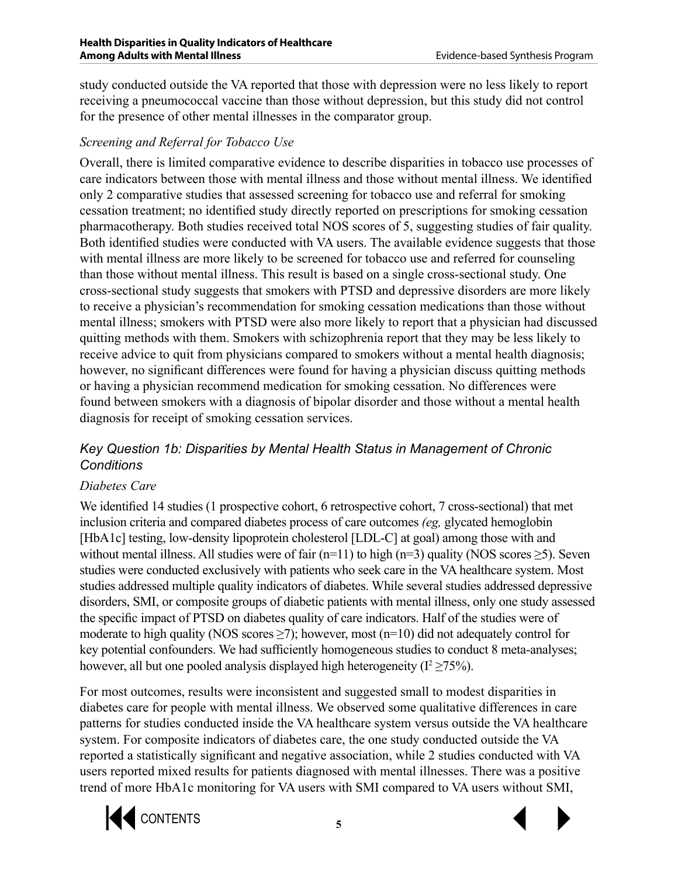study conducted outside the VA reported that those with depression were no less likely to report receiving a pneumococcal vaccine than those without depression, but this study did not control for the presence of other mental illnesses in the comparator group.

#### *Screening and Referral for Tobacco Use*

Overall, there is limited comparative evidence to describe disparities in tobacco use processes of care indicators between those with mental illness and those without mental illness. We identified only 2 comparative studies that assessed screening for tobacco use and referral for smoking cessation treatment; no identified study directly reported on prescriptions for smoking cessation pharmacotherapy. Both studies received total NOS scores of 5, suggesting studies of fair quality. Both identified studies were conducted with VA users. The available evidence suggests that those with mental illness are more likely to be screened for tobacco use and referred for counseling than those without mental illness. This result is based on a single cross-sectional study. One cross-sectional study suggests that smokers with PTSD and depressive disorders are more likely to receive a physician's recommendation for smoking cessation medications than those without mental illness; smokers with PTSD were also more likely to report that a physician had discussed quitting methods with them. Smokers with schizophrenia report that they may be less likely to receive advice to quit from physicians compared to smokers without a mental health diagnosis; however, no significant differences were found for having a physician discuss quitting methods or having a physician recommend medication for smoking cessation. No differences were found between smokers with a diagnosis of bipolar disorder and those without a mental health diagnosis for receipt of smoking cessation services.

## *Key Question 1b: Disparities by Mental Health Status in Management of Chronic Conditions*

#### *Diabetes Care*

We identified 14 studies (1 prospective cohort, 6 retrospective cohort, 7 cross-sectional) that met inclusion criteria and compared diabetes process of care outcomes *(eg,* glycated hemoglobin [HbA1c] testing, low-density lipoprotein cholesterol [LDL-C] at goal) among those with and without mental illness. All studies were of fair (n=11) to high (n=3) quality (NOS scores  $\geq$ 5). Seven studies were conducted exclusively with patients who seek care in the VA healthcare system. Most studies addressed multiple quality indicators of diabetes. While several studies addressed depressive disorders, SMI, or composite groups of diabetic patients with mental illness, only one study assessed the specific impact of PTSD on diabetes quality of care indicators. Half of the studies were of moderate to high quality (NOS scores  $\geq$ 7); however, most (n=10) did not adequately control for key potential confounders. We had sufficiently homogeneous studies to conduct 8 meta-analyses; however, all but one pooled analysis displayed high heterogeneity ( $I^2 \ge 75\%$ ).

For most outcomes, results were inconsistent and suggested small to modest disparities in diabetes care for people with mental illness. We observed some qualitative differences in care patterns for studies conducted inside the VA healthcare system versus outside the VA healthcare system. For composite indicators of diabetes care, the one study conducted outside the VA reported a statistically significant and negative association, while 2 studies conducted with VA users reported mixed results for patients diagnosed with mental illnesses. There was a positive trend of more HbA1c monitoring for VA users with SMI compared to VA users without SMI,



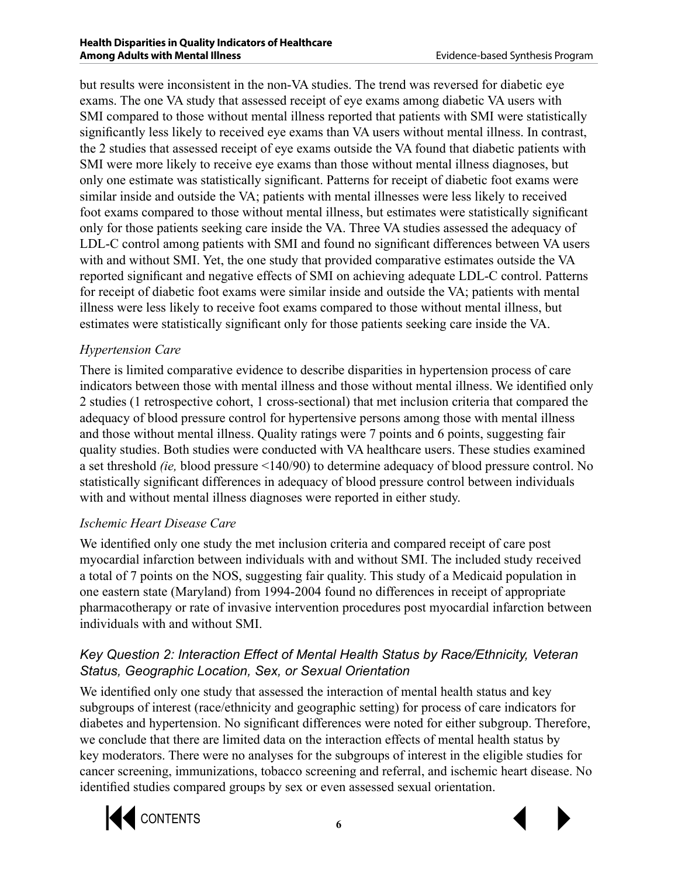but results were inconsistent in the non-VA studies. The trend was reversed for diabetic eye exams. The one VA study that assessed receipt of eye exams among diabetic VA users with SMI compared to those without mental illness reported that patients with SMI were statistically significantly less likely to received eye exams than VA users without mental illness. In contrast, the 2 studies that assessed receipt of eye exams outside the VA found that diabetic patients with SMI were more likely to receive eye exams than those without mental illness diagnoses, but only one estimate was statistically significant. Patterns for receipt of diabetic foot exams were similar inside and outside the VA; patients with mental illnesses were less likely to received foot exams compared to those without mental illness, but estimates were statistically significant only for those patients seeking care inside the VA. Three VA studies assessed the adequacy of LDL-C control among patients with SMI and found no significant differences between VA users with and without SMI. Yet, the one study that provided comparative estimates outside the VA reported significant and negative effects of SMI on achieving adequate LDL-C control. Patterns for receipt of diabetic foot exams were similar inside and outside the VA; patients with mental illness were less likely to receive foot exams compared to those without mental illness, but estimates were statistically significant only for those patients seeking care inside the VA.

## *Hypertension Care*

There is limited comparative evidence to describe disparities in hypertension process of care indicators between those with mental illness and those without mental illness. We identified only 2 studies (1 retrospective cohort, 1 cross-sectional) that met inclusion criteria that compared the adequacy of blood pressure control for hypertensive persons among those with mental illness and those without mental illness. Quality ratings were 7 points and 6 points, suggesting fair quality studies. Both studies were conducted with VA healthcare users. These studies examined a set threshold *(ie,* blood pressure <140/90) to determine adequacy of blood pressure control. No statistically significant differences in adequacy of blood pressure control between individuals with and without mental illness diagnoses were reported in either study.

## *Ischemic Heart Disease Care*

We identified only one study the met inclusion criteria and compared receipt of care post myocardial infarction between individuals with and without SMI. The included study received a total of 7 points on the NOS, suggesting fair quality. This study of a Medicaid population in one eastern state (Maryland) from 1994-2004 found no differences in receipt of appropriate pharmacotherapy or rate of invasive intervention procedures post myocardial infarction between individuals with and without SMI.

## *Key Question 2: Interaction Effect of Mental Health Status by Race/Ethnicity, Veteran Status, Geographic Location, Sex, or Sexual Orientation*

We identified only one study that assessed the interaction of mental health status and key subgroups of interest (race/ethnicity and geographic setting) for process of care indicators for diabetes and hypertension. No significant differences were noted for either subgroup. Therefore, we conclude that there are limited data on the interaction effects of mental health status by key moderators. There were no analyses for the subgroups of interest in the eligible studies for cancer screening, immunizations, tobacco screening and referral, and ischemic heart disease. No identified studies compared groups by sex or even assessed sexual orientation.



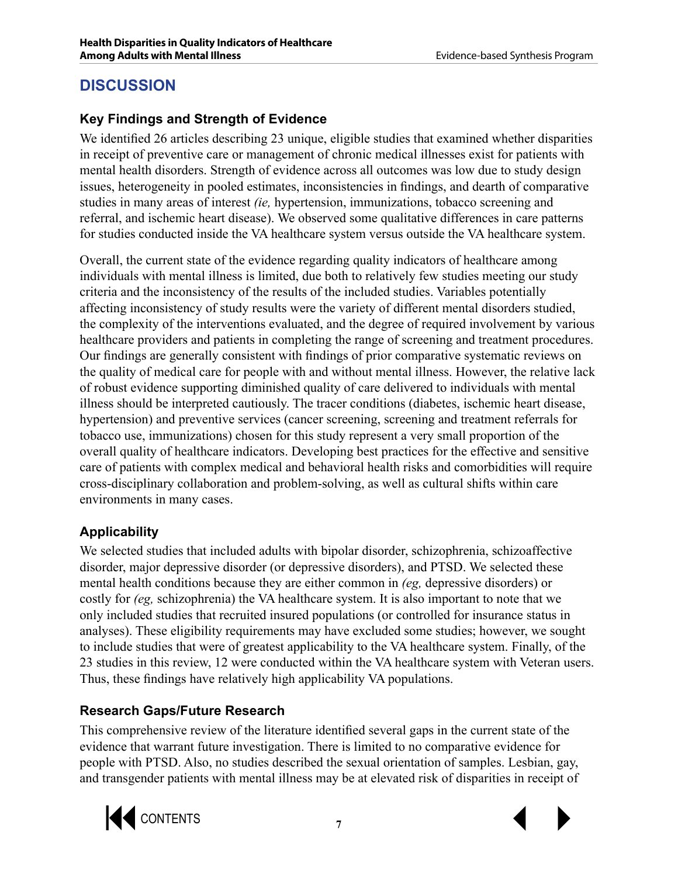# **DISCUSSION**

# **Key Findings and Strength of Evidence**

We identified 26 articles describing 23 unique, eligible studies that examined whether disparities in receipt of preventive care or management of chronic medical illnesses exist for patients with mental health disorders. Strength of evidence across all outcomes was low due to study design issues, heterogeneity in pooled estimates, inconsistencies in findings, and dearth of comparative studies in many areas of interest *(ie,* hypertension, immunizations, tobacco screening and referral, and ischemic heart disease). We observed some qualitative differences in care patterns for studies conducted inside the VA healthcare system versus outside the VA healthcare system.

Overall, the current state of the evidence regarding quality indicators of healthcare among individuals with mental illness is limited, due both to relatively few studies meeting our study criteria and the inconsistency of the results of the included studies. Variables potentially affecting inconsistency of study results were the variety of different mental disorders studied, the complexity of the interventions evaluated, and the degree of required involvement by various healthcare providers and patients in completing the range of screening and treatment procedures. Our findings are generally consistent with findings of prior comparative systematic reviews on the quality of medical care for people with and without mental illness. However, the relative lack of robust evidence supporting diminished quality of care delivered to individuals with mental illness should be interpreted cautiously. The tracer conditions (diabetes, ischemic heart disease, hypertension) and preventive services (cancer screening, screening and treatment referrals for tobacco use, immunizations) chosen for this study represent a very small proportion of the overall quality of healthcare indicators. Developing best practices for the effective and sensitive care of patients with complex medical and behavioral health risks and comorbidities will require cross-disciplinary collaboration and problem-solving, as well as cultural shifts within care environments in many cases.

# **Applicability**

We selected studies that included adults with bipolar disorder, schizophrenia, schizoaffective disorder, major depressive disorder (or depressive disorders), and PTSD. We selected these mental health conditions because they are either common in *(eg,* depressive disorders) or costly for *(eg.* schizophrenia) the VA healthcare system. It is also important to note that we only included studies that recruited insured populations (or controlled for insurance status in analyses). These eligibility requirements may have excluded some studies; however, we sought to include studies that were of greatest applicability to the VA healthcare system. Finally, of the 23 studies in this review, 12 were conducted within the VA healthcare system with Veteran users. Thus, these findings have relatively high applicability VA populations.

# **Research Gaps/Future Research**

This comprehensive review of the literature identified several gaps in the current state of the evidence that warrant future investigation. There is limited to no comparative evidence for people with PTSD. Also, no studies described the sexual orientation of samples. Lesbian, gay, and transgender patients with mental illness may be at elevated risk of disparities in receipt of